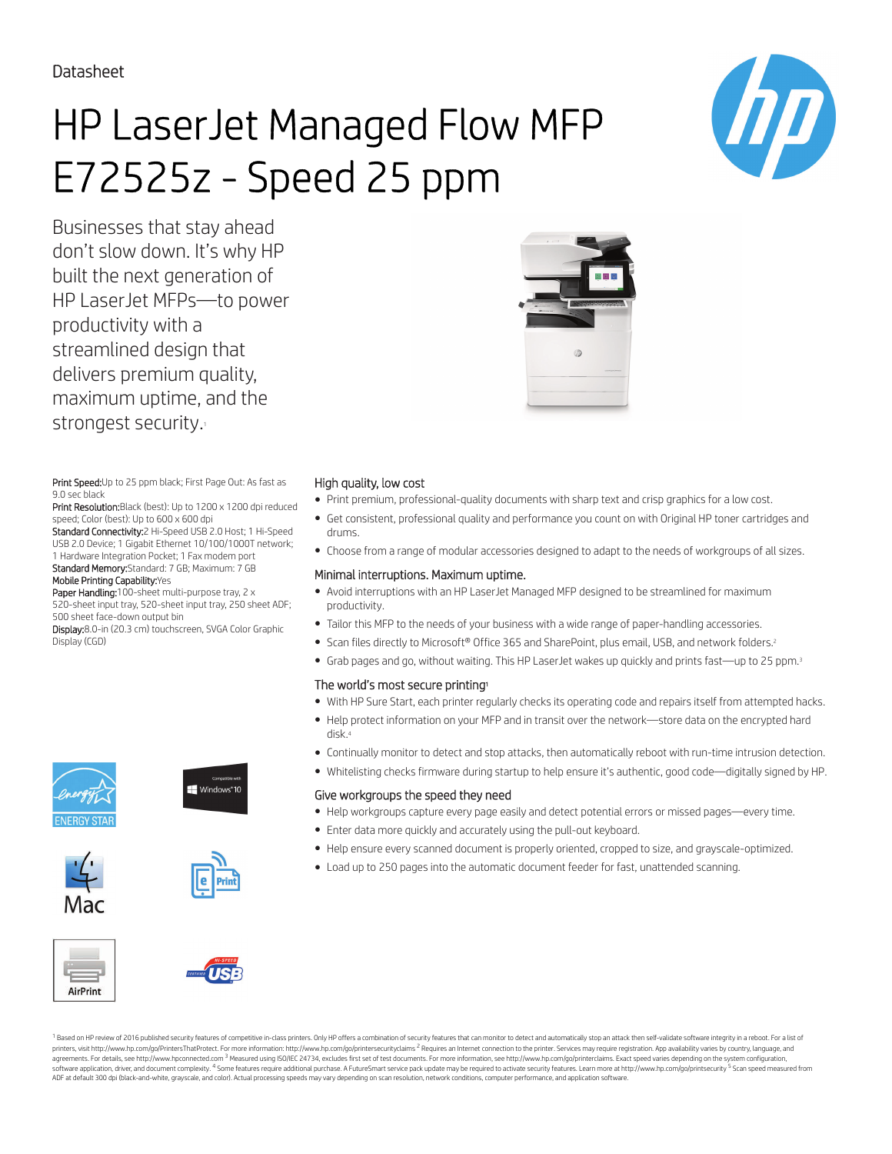Datasheet

# HP LaserJet Managed Flow MFP E72525z - Speed 25 ppm

Businesses that stay ahead don't slow down. It's why HP built the next generation of HP LaserJet MFPs—to power productivity with a streamlined design that delivers premium quality, maximum uptime, and the strongest security.

Print Speed: Up to 25 ppm black; First Page Out: As fast as 9.0 sec black

Print Resolution: Black (best): Up to 1200 x 1200 dpi reduced speed; Color (best): Up to 600 x 600 dpi

Standard Connectivity:2 Hi-Speed USB 2.0 Host; 1 Hi-Speed USB 2.0 Device; 1 Gigabit Ethernet 10/100/1000T network; 1 Hardware Integration Pocket; 1 Fax modem port Standard Memory:Standard: 7 GB; Maximum: 7 GB Mobile Printing Capability:Yes

Paper Handling:100-sheet multi-purpose tray, 2 x 520-sheet input tray, 520-sheet input tray, 250 sheet ADF; 500 sheet face-down output bin

Display:8.0-in (20.3 cm) touchscreen, SVGA Color Graphic Display (CGD)















### High quality, low cost

- Print premium, professional-quality documents with sharp text and crisp graphics for a low cost.
- Get consistent, professional quality and performance you count on with Original HP toner cartridges and drums.
- Choose from a range of modular accessories designed to adapt to the needs of workgroups of all sizes.

#### Minimal interruptions. Maximum uptime.

- Avoid interruptions with an HP LaserJet Managed MFP designed to be streamlined for maximum productivity.
- Tailor this MFP to the needs of your business with a wide range of paper-handling accessories.
- Scan files directly to Microsoft® Office 365 and SharePoint, plus email, USB, and network folders.<sup>2</sup>
- Grab pages and go, without waiting. This HP LaserJet wakes up quickly and prints fast—up to 25 ppm.<sup>3</sup>

#### The world's most secure printing<sup>1</sup>

- With HP Sure Start, each printer regularly checks its operating code and repairs itself from attempted hacks.
- Help protect information on your MFP and in transit over the network—store data on the encrypted hard disk.<sup>4</sup>
- Continually monitor to detect and stop attacks, then automatically reboot with run-time intrusion detection.
- Whitelisting checks firmware during startup to help ensure it's authentic, good code—digitally signed by HP.

#### Give workgroups the speed they need

- Help workgroups capture every page easily and detect potential errors or missed pages—every time.
- Enter data more quickly and accurately using the pull-out keyboard.
- Help ensure every scanned document is properly oriented, cropped to size, and grayscale-optimized.
- Load up to 250 pages into the automatic document feeder for fast, unattended scanning.

AirPrint



<sup>1</sup> Based on HP review of 2016 published security features of competitive in-class printers. Only HP offers a combination of security features that can monitor to detect and automatically stop an attack then self-validate printers, visit http://www.hp.com/go/PrintersThatProtect. For more information: http://www.hp.com/go/printersecurityclaims <sup>2</sup> Requires an Internet connection to the printer. Services may require registration. App availabi parameter and the comparameter and the main term of the comparameter and the comparameter and the comparameter and the comparameter and the comparameter and the comparameter and the comparameter and the comparameter and th software application, driver, and document complexity. <sup>4</sup> Some features require additional purchase. A FutureSmart service pack update may be required to activate security features. Learn more at http://www.hp.com/go/prin